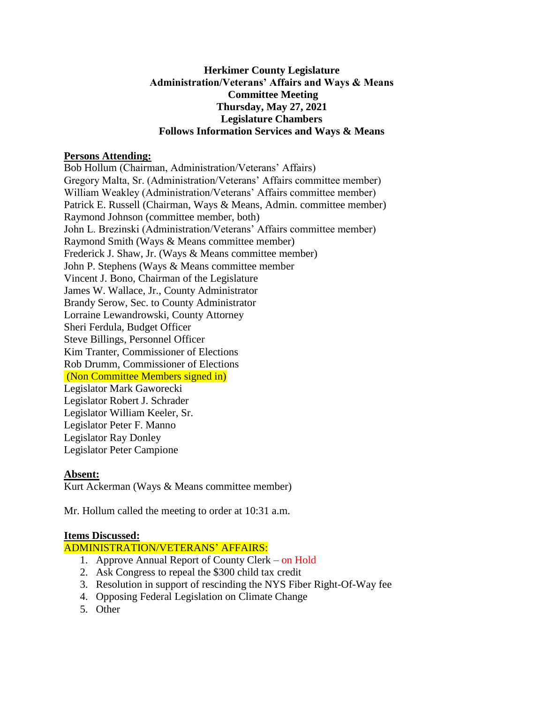## **Herkimer County Legislature Administration/Veterans' Affairs and Ways & Means Committee Meeting Thursday, May 27, 2021 Legislature Chambers Follows Information Services and Ways & Means**

## **Persons Attending:**

Bob Hollum (Chairman, Administration/Veterans' Affairs) Gregory Malta, Sr. (Administration/Veterans' Affairs committee member) William Weakley (Administration/Veterans' Affairs committee member) Patrick E. Russell (Chairman, Ways & Means, Admin. committee member) Raymond Johnson (committee member, both) John L. Brezinski (Administration/Veterans' Affairs committee member) Raymond Smith (Ways & Means committee member) Frederick J. Shaw, Jr. (Ways & Means committee member) John P. Stephens (Ways & Means committee member Vincent J. Bono, Chairman of the Legislature James W. Wallace, Jr., County Administrator Brandy Serow, Sec. to County Administrator Lorraine Lewandrowski, County Attorney Sheri Ferdula, Budget Officer Steve Billings, Personnel Officer Kim Tranter, Commissioner of Elections Rob Drumm, Commissioner of Elections (Non Committee Members signed in) Legislator Mark Gaworecki Legislator Robert J. Schrader Legislator William Keeler, Sr. Legislator Peter F. Manno Legislator Ray Donley Legislator Peter Campione

# **Absent:**

Kurt Ackerman (Ways & Means committee member)

Mr. Hollum called the meeting to order at 10:31 a.m.

#### **Items Discussed:**

ADMINISTRATION/VETERANS' AFFAIRS:

- 1. Approve Annual Report of County Clerk on Hold
- 2. Ask Congress to repeal the \$300 child tax credit
- 3. Resolution in support of rescinding the NYS Fiber Right-Of-Way fee
- 4. Opposing Federal Legislation on Climate Change
- 5. Other